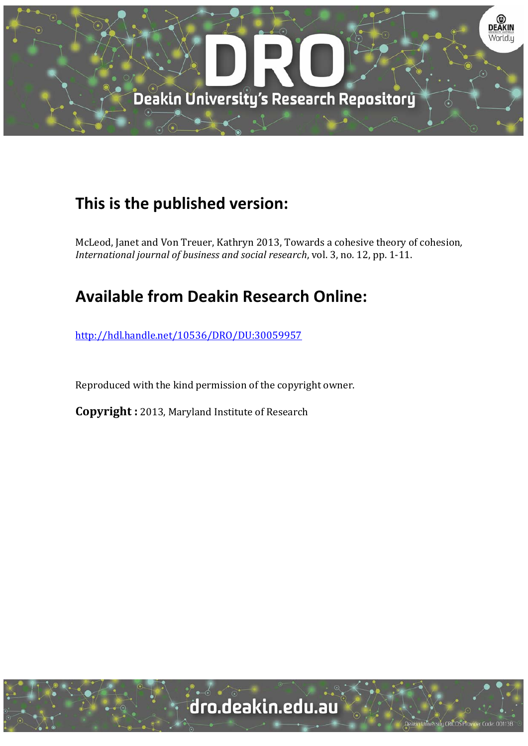

# **This is the published version:**

McLeod, Janet and Von Treuer, Kathryn 2013, Towards a cohesive theory of cohesion, *International journal of business and social research*, vol. 3, no. 12, pp. 1‐11. 

# **Available from Deakin Research Online:**

http://hdl.handle.net/10536/DRO/DU:30059957

Reproduced with the kind permission of the copyright owner.

**Copyright** : 2013, Maryland Institute of Research

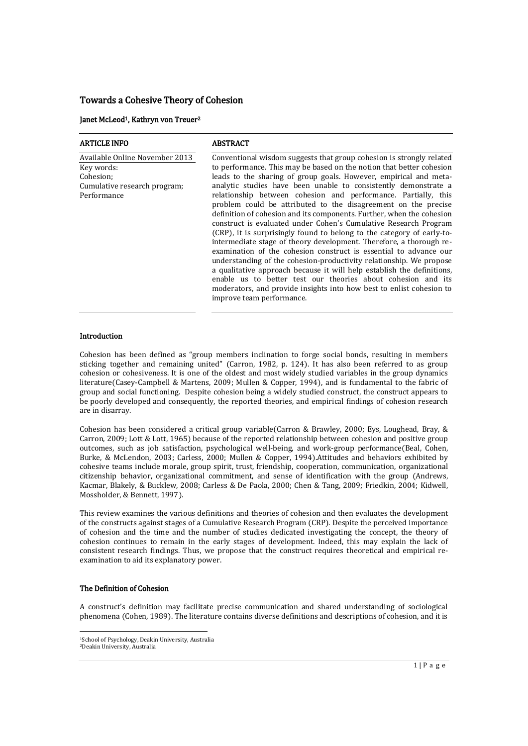# Towards a Cohesive Theory of Cohesion

#### Janet McLeod1, Kathryn von Treuer<sup>2</sup>

| <b>ARTICLE INFO</b>                                                                                      | <b>ABSTRACT</b>                                                                                                                                                                                                                                                                                                                                                                                                                                                                                                                                                                                                                                                                                                                                                                                                                                                                                                                                                                                                                                                                                                   |  |  |
|----------------------------------------------------------------------------------------------------------|-------------------------------------------------------------------------------------------------------------------------------------------------------------------------------------------------------------------------------------------------------------------------------------------------------------------------------------------------------------------------------------------------------------------------------------------------------------------------------------------------------------------------------------------------------------------------------------------------------------------------------------------------------------------------------------------------------------------------------------------------------------------------------------------------------------------------------------------------------------------------------------------------------------------------------------------------------------------------------------------------------------------------------------------------------------------------------------------------------------------|--|--|
| Available Online November 2013<br>Key words:<br>Cohesion;<br>Cumulative research program;<br>Performance | Conventional wisdom suggests that group cohesion is strongly related<br>to performance. This may be based on the notion that better cohesion<br>leads to the sharing of group goals. However, empirical and meta-<br>analytic studies have been unable to consistently demonstrate a<br>relationship between cohesion and performance. Partially, this<br>problem could be attributed to the disagreement on the precise<br>definition of cohesion and its components. Further, when the cohesion<br>construct is evaluated under Cohen's Cumulative Research Program<br>(CRP), it is surprisingly found to belong to the category of early-to-<br>intermediate stage of theory development. Therefore, a thorough re-<br>examination of the cohesion construct is essential to advance our<br>understanding of the cohesion-productivity relationship. We propose<br>a qualitative approach because it will help establish the definitions,<br>enable us to better test our theories about cohesion and its<br>moderators, and provide insights into how best to enlist cohesion to<br>improve team performance. |  |  |
|                                                                                                          |                                                                                                                                                                                                                                                                                                                                                                                                                                                                                                                                                                                                                                                                                                                                                                                                                                                                                                                                                                                                                                                                                                                   |  |  |

# Introduction

Cohesion has been defined as "group members inclination to forge social bonds, resulting in members sticking together and remaining united" (Carron, 1982, p. 124). It has also been referred to as group cohesion or cohesiveness. It is one of the oldest and most widely studied variables in the group dynamics literature(Casey-Campbell & Martens, 2009; Mullen & Copper, 1994), and is fundamental to the fabric of group and social functioning. Despite cohesion being a widely studied construct, the construct appears to be poorly developed and consequently, the reported theories, and empirical findings of cohesion research are in disarray.

Cohesion has been considered a critical group variable(Carron & Brawley, 2000; Eys, Loughead, Bray, & Carron, 2009; Lott & Lott, 1965) because of the reported relationship between cohesion and positive group outcomes, such as job satisfaction, psychological well-being, and work-group performance(Beal, Cohen, Burke, & McLendon, 2003; Carless, 2000; Mullen & Copper, 1994).Attitudes and behaviors exhibited by cohesive teams include morale, group spirit, trust, friendship, cooperation, communication, organizational citizenship behavior, organizational commitment, and sense of identification with the group (Andrews, Kacmar, Blakely, & Bucklew, 2008; Carless & De Paola, 2000; Chen & Tang, 2009; Friedkin, 2004; Kidwell, Mossholder, & Bennett, 1997).

This review examines the various definitions and theories of cohesion and then evaluates the development of the constructs against stages of a Cumulative Research Program (CRP). Despite the perceived importance of cohesion and the time and the number of studies dedicated investigating the concept, the theory of cohesion continues to remain in the early stages of development. Indeed, this may explain the lack of consistent research findings. Thus, we propose that the construct requires theoretical and empirical reexamination to aid its explanatory power.

# The Definition of Cohesion

1

A construct's definition may facilitate precise communication and shared understanding of sociological phenomena (Cohen, 1989). The literature contains diverse definitions and descriptions of cohesion, and it is

<sup>1</sup>School of Psychology, Deakin University, Australia 2Deakin University, Australia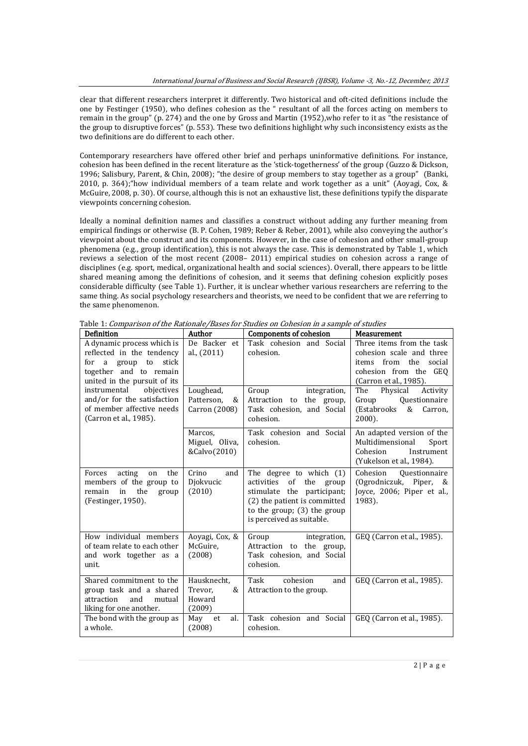clear that different researchers interpret it differently. Two historical and oft-cited definitions include the one by Festinger (1950), who defines cohesion as the " resultant of all the forces acting on members to remain in the group" (p. 274) and the one by Gross and Martin (1952),who refer to it as "the resistance of the group to disruptive forces" (p. 553). These two definitions highlight why such inconsistency exists as the two definitions are do different to each other.

Contemporary researchers have offered other brief and perhaps uninformative definitions. For instance, cohesion has been defined in the recent literature as the 'stick-togetherness' of the group (Guzzo & Dickson, 1996; Salisbury, Parent, & Chin, 2008); "the desire of group members to stay together as a group" (Banki, 2010, p. 364);"how individual members of a team relate and work together as a unit" (Aoyagi, Cox, & McGuire, 2008, p. 30). Of course, although this is not an exhaustive list, these definitions typify the disparate viewpoints concerning cohesion.

Ideally a nominal definition names and classifies a construct without adding any further meaning from empirical findings or otherwise (B. P. Cohen, 1989; Reber & Reber, 2001), while also conveying the author's viewpoint about the construct and its components. However, in the case of cohesion and other small-group phenomena (e.g., group identification), this is not always the case. This is demonstrated by Table 1, which reviews a selection of the most recent (2008– 2011) empirical studies on cohesion across a range of disciplines (e.g. sport, medical, organizational health and social sciences). Overall, there appears to be little shared meaning among the definitions of cohesion, and it seems that defining cohesion explicitly poses considerable difficulty (see Table 1). Further, it is unclear whether various researchers are referring to the same thing. As social psychology researchers and theorists, we need to be confident that we are referring to the same phenomenon.

| Definition                                                                                                                                                                                                                                                          | Author                                          | <b>Components of cohesion</b>                                                                                                                                                             | Measurement                                                                                                                          |
|---------------------------------------------------------------------------------------------------------------------------------------------------------------------------------------------------------------------------------------------------------------------|-------------------------------------------------|-------------------------------------------------------------------------------------------------------------------------------------------------------------------------------------------|--------------------------------------------------------------------------------------------------------------------------------------|
| A dynamic process which is<br>reflected in the tendency<br>stick<br>a group to<br>for<br>together and to remain<br>united in the pursuit of its<br>instrumental<br>objectives<br>and/or for the satisfaction<br>of member affective needs<br>(Carron et al., 1985). | De Backer et<br>al., (2011)                     | Task cohesion and Social<br>cohesion.                                                                                                                                                     | Three items from the task<br>cohesion scale and three<br>items from the<br>social<br>cohesion from the GEO<br>(Carron et al., 1985). |
|                                                                                                                                                                                                                                                                     | Loughead,<br>Patterson,<br>&<br>Carron (2008)   | Group<br>integration,<br>Attraction to the group,<br>Task cohesion, and Social<br>cohesion.                                                                                               | The<br>Physical<br>Activity<br>Questionnaire<br>Group<br>(Estabrooks<br>&<br>Carron,<br>2000).                                       |
|                                                                                                                                                                                                                                                                     | Marcos,<br>Miguel, Oliva,<br>&Calvo(2010)       | Task cohesion and Social<br>cohesion.                                                                                                                                                     | An adapted version of the<br>Multidimensional<br>Sport<br>Cohesion<br>Instrument<br>(Yukelson et al., 1984).                         |
| the<br>Forces<br>acting<br>on<br>members of the group to<br>the<br>remain<br>in<br>group<br>(Festinger, 1950).                                                                                                                                                      | Crino<br>and<br>Djokvucic<br>(2010)             | The degree to which $(1)$<br>activities<br>of<br>the<br>group<br>stimulate the participant;<br>(2) the patient is committed<br>to the group; $(3)$ the group<br>is perceived as suitable. | Cohesion<br><b>Questionnaire</b><br>(Ogrodniczuk, Piper, &<br>Joyce, 2006; Piper et al.,<br>1983).                                   |
| How individual members<br>of team relate to each other<br>and work together as a<br>unit.                                                                                                                                                                           | Aoyagi, Cox, &<br>McGuire,<br>(2008)            | Group<br>integration,<br>Attraction to the group,<br>Task cohesion, and Social<br>cohesion.                                                                                               | GEQ (Carron et al., 1985).                                                                                                           |
| Shared commitment to the<br>group task and a shared<br>and<br>attraction<br>mutual<br>liking for one another.                                                                                                                                                       | Hausknecht.<br>Trevor,<br>&<br>Howard<br>(2009) | Task<br>cohesion<br>and<br>Attraction to the group.                                                                                                                                       | GEQ (Carron et al., 1985).                                                                                                           |
| The bond with the group as<br>a whole.                                                                                                                                                                                                                              | May<br>et<br>al.<br>(2008)                      | Task cohesion and Social<br>cohesion.                                                                                                                                                     | GEQ (Carron et al., 1985).                                                                                                           |

Table 1: Comparison of the Rationale/Bases for Studies on Cohesion in a sample of studies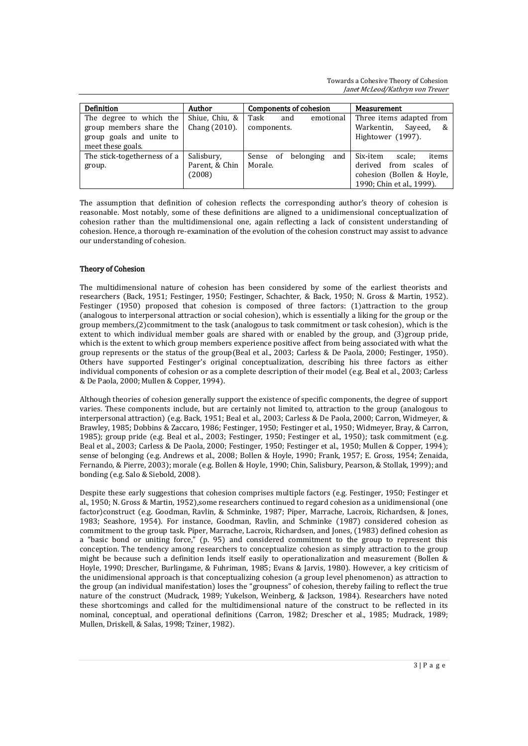Towards a Cohesive Theory of Cohesion Janet McLeod/Kathryn von Treuer

| Definition                                                                                          | Author                                 | Components of cohesion                  | Measurement                                                                                                     |
|-----------------------------------------------------------------------------------------------------|----------------------------------------|-----------------------------------------|-----------------------------------------------------------------------------------------------------------------|
| The degree to which the<br>group members share the<br>group goals and unite to<br>meet these goals. | Shiue, Chiu, &<br>Chang (2010).        | Task<br>and<br>emotional<br>components. | Three items adapted from<br>Warkentin,<br>Sayeed,<br>&<br>Hightower (1997).                                     |
| The stick-togetherness of a<br>group.                                                               | Salisbury,<br>Parent, & Chin<br>(2008) | belonging<br>and<br>Sense of<br>Morale. | Six-item<br>scale;<br>items<br>derived from scales of<br>cohesion (Bollen & Hoyle,<br>1990; Chin et al., 1999). |

The assumption that definition of cohesion reflects the corresponding author's theory of cohesion is reasonable. Most notably, some of these definitions are aligned to a unidimensional conceptualization of cohesion rather than the multidimensional one, again reflecting a lack of consistent understanding of cohesion. Hence, a thorough re-examination of the evolution of the cohesion construct may assist to advance our understanding of cohesion.

# Theory of Cohesion

The multidimensional nature of cohesion has been considered by some of the earliest theorists and researchers (Back, 1951; Festinger, 1950; Festinger, Schachter, & Back, 1950; N. Gross & Martin, 1952). Festinger (1950) proposed that cohesion is composed of three factors: (1)attraction to the group (analogous to interpersonal attraction or social cohesion), which is essentially a liking for the group or the group members,(2)commitment to the task (analogous to task commitment or task cohesion), which is the extent to which individual member goals are shared with or enabled by the group, and (3)group pride, which is the extent to which group members experience positive affect from being associated with what the group represents or the status of the group(Beal et al., 2003; Carless & De Paola, 2000; Festinger, 1950). Others have supported Festinger's original conceptualization, describing his three factors as either individual components of cohesion or as a complete description of their model (e.g. Beal et al., 2003; Carless & De Paola, 2000; Mullen & Copper, 1994).

Although theories of cohesion generally support the existence of specific components, the degree of support varies. These components include, but are certainly not limited to, attraction to the group (analogous to interpersonal attraction) (e.g. Back, 1951; Beal et al., 2003; Carless & De Paola, 2000; Carron, Widmeyer, & Brawley, 1985; Dobbins & Zaccaro, 1986; Festinger, 1950; Festinger et al., 1950; Widmeyer, Bray, & Carron, 1985); group pride (e.g. Beal et al., 2003; Festinger, 1950; Festinger et al., 1950); task commitment (e.g. Beal et al., 2003; Carless & De Paola, 2000; Festinger, 1950; Festinger et al., 1950; Mullen & Copper, 1994); sense of belonging (e.g. Andrews et al., 2008; Bollen & Hoyle, 1990; Frank, 1957; E. Gross, 1954; Zenaida, Fernando, & Pierre, 2003); morale (e.g. Bollen & Hoyle, 1990; Chin, Salisbury, Pearson, & Stollak, 1999); and bonding (e.g. Salo & Siebold, 2008).

Despite these early suggestions that cohesion comprises multiple factors (e.g. Festinger, 1950; Festinger et al., 1950; N. Gross & Martin, 1952),some researchers continued to regard cohesion as a unidimensional (one factor)construct (e.g. Goodman, Ravlin, & Schminke, 1987; Piper, Marrache, Lacroix, Richardsen, & Jones, 1983; Seashore, 1954). For instance, Goodman, Ravlin, and Schminke (1987) considered cohesion as commitment to the group task. Piper, Marrache, Lacroix, Richardsen, and Jones, (1983) defined cohesion as a "basic bond or uniting force," (p. 95) and considered commitment to the group to represent this conception. The tendency among researchers to conceptualize cohesion as simply attraction to the group might be because such a definition lends itself easily to operationalization and measurement (Bollen & Hoyle, 1990; Drescher, Burlingame, & Fuhriman, 1985; Evans & Jarvis, 1980). However, a key criticism of the unidimensional approach is that conceptualizing cohesion (a group level phenomenon) as attraction to the group (an individual manifestation) loses the "groupness" of cohesion, thereby failing to reflect the true nature of the construct (Mudrack, 1989; Yukelson, Weinberg, & Jackson, 1984). Researchers have noted these shortcomings and called for the multidimensional nature of the construct to be reflected in its nominal, conceptual, and operational definitions (Carron, 1982; Drescher et al., 1985; Mudrack, 1989; Mullen, Driskell, & Salas, 1998; Tziner, 1982).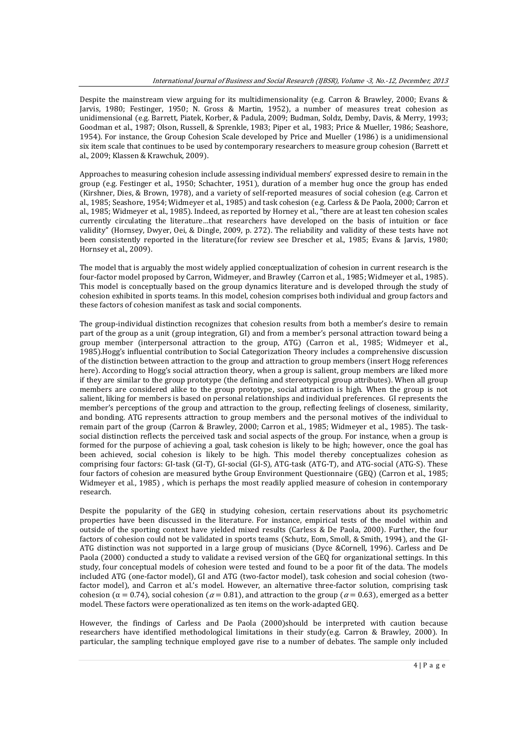Despite the mainstream view arguing for its multidimensionality (e.g. Carron & Brawley, 2000; Evans & Jarvis, 1980; Festinger, 1950; N. Gross & Martin, 1952), a number of measures treat cohesion as unidimensional (e.g. Barrett, Piatek, Korber, & Padula, 2009; Budman, Soldz, Demby, Davis, & Merry, 1993; Goodman et al., 1987; Olson, Russell, & Sprenkle, 1983; Piper et al., 1983; Price & Mueller, 1986; Seashore, 1954). For instance, the Group Cohesion Scale developed by Price and Mueller (1986) is a unidimensional six item scale that continues to be used by contemporary researchers to measure group cohesion (Barrett et al., 2009; Klassen & Krawchuk, 2009).

Approaches to measuring cohesion include assessing individual members' expressed desire to remain in the group (e.g. Festinger et al., 1950; Schachter, 1951), duration of a member hug once the group has ended (Kirshner, Dies, & Brown, 1978), and a variety of self-reported measures of social cohesion (e.g. Carron et al., 1985; Seashore, 1954; Widmeyer et al., 1985) and task cohesion (e.g. Carless & De Paola, 2000; Carron et al., 1985; Widmeyer et al., 1985). Indeed, as reported by Horney et al., "there are at least ten cohesion scales currently circulating the literature…that researchers have developed on the basis of intuition or face validity" (Hornsey, Dwyer, Oei, & Dingle, 2009, p. 272). The reliability and validity of these tests have not been consistently reported in the literature(for review see Drescher et al., 1985; Evans & Jarvis, 1980; Hornsey et al., 2009).

The model that is arguably the most widely applied conceptualization of cohesion in current research is the four-factor model proposed by Carron, Widmeyer, and Brawley (Carron et al., 1985; Widmeyer et al., 1985). This model is conceptually based on the group dynamics literature and is developed through the study of cohesion exhibited in sports teams. In this model, cohesion comprises both individual and group factors and these factors of cohesion manifest as task and social components.

The group-individual distinction recognizes that cohesion results from both a member's desire to remain part of the group as a unit (group integration, GI) and from a member's personal attraction toward being a group member (interpersonal attraction to the group, ATG) (Carron et al., 1985; Widmeyer et al., 1985).Hogg's influential contribution to Social Categorization Theory includes a comprehensive discussion of the distinction between attraction to the group and attraction to group members (insert Hogg references here). According to Hogg's social attraction theory, when a group is salient, group members are liked more if they are similar to the group prototype (the defining and stereotypical group attributes). When all group members are considered alike to the group prototype, social attraction is high. When the group is not salient, liking for members is based on personal relationships and individual preferences. GI represents the member's perceptions of the group and attraction to the group, reflecting feelings of closeness, similarity, and bonding. ATG represents attraction to group members and the personal motives of the individual to remain part of the group (Carron & Brawley, 2000; Carron et al., 1985; Widmeyer et al., 1985). The tasksocial distinction reflects the perceived task and social aspects of the group. For instance, when a group is formed for the purpose of achieving a goal, task cohesion is likely to be high; however, once the goal has been achieved, social cohesion is likely to be high. This model thereby conceptualizes cohesion as comprising four factors: GI-task (GI-T), GI-social (GI-S), ATG-task (ATG-T), and ATG-social (ATG-S). These four factors of cohesion are measured bythe Group Environment Questionnaire (GEQ) (Carron et al., 1985; Widmeyer et al., 1985) , which is perhaps the most readily applied measure of cohesion in contemporary research.

Despite the popularity of the GEQ in studying cohesion, certain reservations about its psychometric properties have been discussed in the literature. For instance, empirical tests of the model within and outside of the sporting context have yielded mixed results (Carless & De Paola, 2000). Further, the four factors of cohesion could not be validated in sports teams (Schutz, Eom, Smoll, & Smith, 1994), and the GI-ATG distinction was not supported in a large group of musicians (Dyce &Cornell, 1996). Carless and De Paola (2000) conducted a study to validate a revised version of the GEQ for organizational settings. In this study, four conceptual models of cohesion were tested and found to be a poor fit of the data. The models included ATG (one-factor model), GI and ATG (two-factor model), task cohesion and social cohesion (twofactor model), and Carron et al.'s model. However, an alternative three-factor solution, comprising task cohesion ( $\alpha$  = 0.74), social cohesion ( $\alpha$  = 0.81), and attraction to the group ( $\alpha$  = 0.63), emerged as a better model. These factors were operationalized as ten items on the work-adapted GEQ.

However, the findings of Carless and De Paola (2000)should be interpreted with caution because researchers have identified methodological limitations in their study(e.g. Carron & Brawley, 2000). In particular, the sampling technique employed gave rise to a number of debates. The sample only included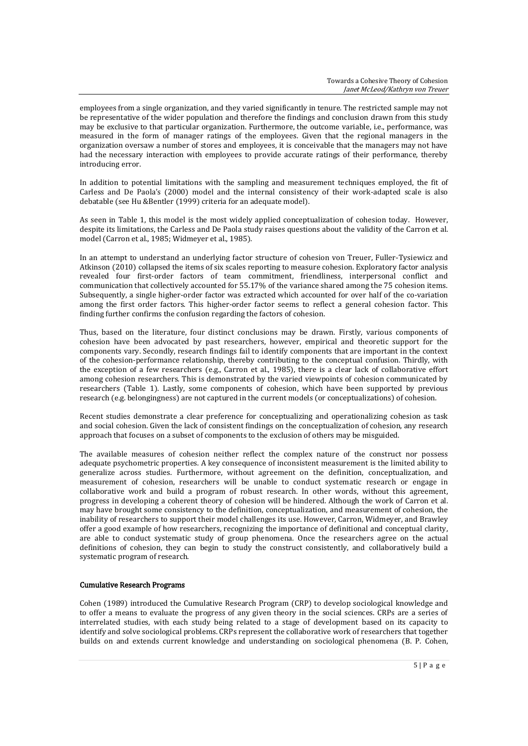employees from a single organization, and they varied significantly in tenure. The restricted sample may not be representative of the wider population and therefore the findings and conclusion drawn from this study may be exclusive to that particular organization. Furthermore, the outcome variable, i.e., performance, was measured in the form of manager ratings of the employees. Given that the regional managers in the organization oversaw a number of stores and employees, it is conceivable that the managers may not have had the necessary interaction with employees to provide accurate ratings of their performance, thereby introducing error.

In addition to potential limitations with the sampling and measurement techniques employed, the fit of Carless and De Paola's (2000) model and the internal consistency of their work-adapted scale is also debatable (see Hu &Bentler (1999) criteria for an adequate model).

As seen in Table 1, this model is the most widely applied conceptualization of cohesion today. However, despite its limitations, the Carless and De Paola study raises questions about the validity of the Carron et al. model (Carron et al., 1985; Widmeyer et al., 1985).

In an attempt to understand an underlying factor structure of cohesion von Treuer, Fuller-Tysiewicz and Atkinson (2010) collapsed the items of six scales reporting to measure cohesion. Exploratory factor analysis revealed four first-order factors of team commitment, friendliness, interpersonal conflict and communication that collectively accounted for 55.17% of the variance shared among the 75 cohesion items. Subsequently, a single higher-order factor was extracted which accounted for over half of the co-variation among the first order factors. This higher-order factor seems to reflect a general cohesion factor. This finding further confirms the confusion regarding the factors of cohesion.

Thus, based on the literature, four distinct conclusions may be drawn. Firstly, various components of cohesion have been advocated by past researchers, however, empirical and theoretic support for the components vary. Secondly, research findings fail to identify components that are important in the context of the cohesion-performance relationship, thereby contributing to the conceptual confusion. Thirdly, with the exception of a few researchers (e.g., Carron et al., 1985), there is a clear lack of collaborative effort among cohesion researchers. This is demonstrated by the varied viewpoints of cohesion communicated by researchers (Table 1). Lastly, some components of cohesion, which have been supported by previous research (e.g. belongingness) are not captured in the current models (or conceptualizations) of cohesion.

Recent studies demonstrate a clear preference for conceptualizing and operationalizing cohesion as task and social cohesion. Given the lack of consistent findings on the conceptualization of cohesion, any research approach that focuses on a subset of components to the exclusion of others may be misguided.

The available measures of cohesion neither reflect the complex nature of the construct nor possess adequate psychometric properties. A key consequence of inconsistent measurement is the limited ability to generalize across studies. Furthermore, without agreement on the definition, conceptualization, and measurement of cohesion, researchers will be unable to conduct systematic research or engage in collaborative work and build a program of robust research. In other words, without this agreement, progress in developing a coherent theory of cohesion will be hindered. Although the work of Carron et al. may have brought some consistency to the definition, conceptualization, and measurement of cohesion, the inability of researchers to support their model challenges its use. However, Carron, Widmeyer, and Brawley offer a good example of how researchers, recognizing the importance of definitional and conceptual clarity, are able to conduct systematic study of group phenomena. Once the researchers agree on the actual definitions of cohesion, they can begin to study the construct consistently, and collaboratively build a systematic program of research.

### Cumulative Research Programs

Cohen (1989) introduced the Cumulative Research Program (CRP) to develop sociological knowledge and to offer a means to evaluate the progress of any given theory in the social sciences. CRPs are a series of interrelated studies, with each study being related to a stage of development based on its capacity to identify and solve sociological problems. CRPs represent the collaborative work of researchers that together builds on and extends current knowledge and understanding on sociological phenomena (B. P. Cohen,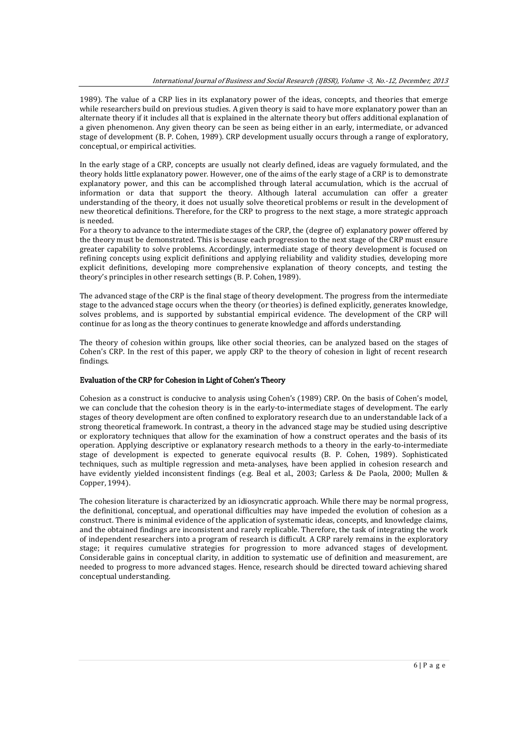1989). The value of a CRP lies in its explanatory power of the ideas, concepts, and theories that emerge while researchers build on previous studies. A given theory is said to have more explanatory power than an alternate theory if it includes all that is explained in the alternate theory but offers additional explanation of a given phenomenon. Any given theory can be seen as being either in an early, intermediate, or advanced stage of development (B. P. Cohen, 1989). CRP development usually occurs through a range of exploratory, conceptual, or empirical activities.

In the early stage of a CRP, concepts are usually not clearly defined, ideas are vaguely formulated, and the theory holds little explanatory power. However, one of the aims of the early stage of a CRP is to demonstrate explanatory power, and this can be accomplished through lateral accumulation, which is the accrual of information or data that support the theory. Although lateral accumulation can offer a greater understanding of the theory, it does not usually solve theoretical problems or result in the development of new theoretical definitions. Therefore, for the CRP to progress to the next stage, a more strategic approach is needed.

For a theory to advance to the intermediate stages of the CRP, the (degree of) explanatory power offered by the theory must be demonstrated. This is because each progression to the next stage of the CRP must ensure greater capability to solve problems. Accordingly, intermediate stage of theory development is focused on refining concepts using explicit definitions and applying reliability and validity studies, developing more explicit definitions, developing more comprehensive explanation of theory concepts, and testing the theory's principles in other research settings (B. P. Cohen, 1989).

The advanced stage of the CRP is the final stage of theory development. The progress from the intermediate stage to the advanced stage occurs when the theory (or theories) is defined explicitly, generates knowledge, solves problems, and is supported by substantial empirical evidence. The development of the CRP will continue for as long as the theory continues to generate knowledge and affords understanding.

The theory of cohesion within groups, like other social theories, can be analyzed based on the stages of Cohen's CRP. In the rest of this paper, we apply CRP to the theory of cohesion in light of recent research findings.

#### Evaluation of the CRP for Cohesion in Light of Cohen's Theory

Cohesion as a construct is conducive to analysis using Cohen's (1989) CRP. On the basis of Cohen's model, we can conclude that the cohesion theory is in the early-to-intermediate stages of development. The early stages of theory development are often confined to exploratory research due to an understandable lack of a strong theoretical framework. In contrast, a theory in the advanced stage may be studied using descriptive or exploratory techniques that allow for the examination of how a construct operates and the basis of its operation. Applying descriptive or explanatory research methods to a theory in the early-to-intermediate stage of development is expected to generate equivocal results (B. P. Cohen, 1989). Sophisticated techniques, such as multiple regression and meta-analyses, have been applied in cohesion research and have evidently yielded inconsistent findings (e.g. Beal et al., 2003; Carless & De Paola, 2000; Mullen & Copper, 1994).

The cohesion literature is characterized by an idiosyncratic approach. While there may be normal progress, the definitional, conceptual, and operational difficulties may have impeded the evolution of cohesion as a construct. There is minimal evidence of the application of systematic ideas, concepts, and knowledge claims, and the obtained findings are inconsistent and rarely replicable. Therefore, the task of integrating the work of independent researchers into a program of research is difficult. A CRP rarely remains in the exploratory stage; it requires cumulative strategies for progression to more advanced stages of development. Considerable gains in conceptual clarity, in addition to systematic use of definition and measurement, are needed to progress to more advanced stages. Hence, research should be directed toward achieving shared conceptual understanding.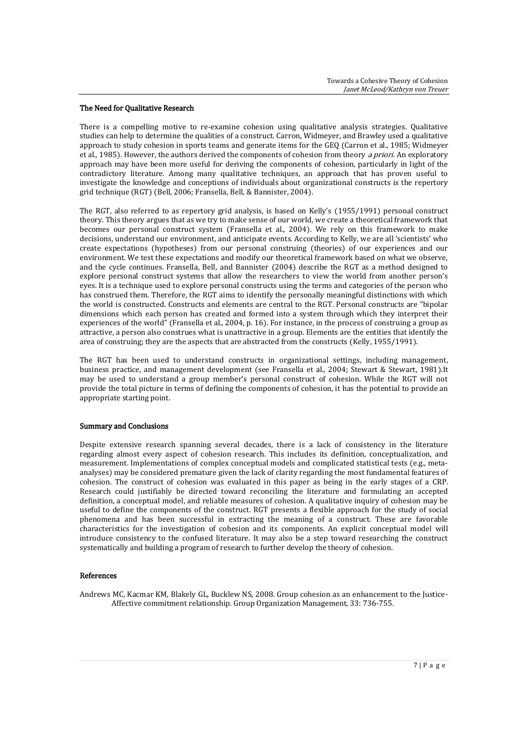### The Need for Qualitative Research

There is a compelling motive to re-examine cohesion using qualitative analysis strategies. Qualitative studies can help to determine the qualities of a construct. Carron, Widmeyer, and Brawley used a qualitative approach to study cohesion in sports teams and generate items for the GEQ (Carron et al., 1985; Widmeyer et al., 1985). However, the authors derived the components of cohesion from theory a priori. An exploratory approach may have been more useful for deriving the components of cohesion, particularly in light of the contradictory literature. Among many qualitative techniques, an approach that has proven useful to investigate the knowledge and conceptions of individuals about organizational constructs is the repertory grid technique (RGT) (Bell, 2006; Fransella, Bell, & Bannister, 2004).

The RGT, also referred to as repertory grid analysis, is based on Kelly's (1955/1991) personal construct theory. This theory argues that as we try to make sense of our world, we create a theoretical framework that becomes our personal construct system (Fransella et al., 2004). We rely on this framework to make decisions, understand our environment, and anticipate events. According to Kelly, we are all 'scientists' who create expectations (hypotheses) from our personal construing (theories) of our experiences and our environment. We test these expectations and modify our theoretical framework based on what we observe, and the cycle continues. Fransella, Bell, and Bannister (2004) describe the RGT as a method designed to explore personal construct systems that allow the researchers to view the world from another person's eyes. It is a technique used to explore personal constructs using the terms and categories of the person who has construed them. Therefore, the RGT aims to identify the personally meaningful distinctions with which the world is constructed. Constructs and elements are central to the RGT. Personal constructs are "bipolar dimensions which each person has created and formed into a system through which they interpret their experiences of the world" (Fransella et al., 2004, p. 16). For instance, in the process of construing a group as attractive, a person also construes what is unattractive in a group. Elements are the entities that identify the area of construing; they are the aspects that are abstracted from the constructs (Kelly, 1955/1991).

The RGT has been used to understand constructs in organizational settings, including management, business practice, and management development (see Fransella et al., 2004; Stewart & Stewart, 1981).It may be used to understand a group member's personal construct of cohesion. While the RGT will not provide the total picture in terms of defining the components of cohesion, it has the potential to provide an appropriate starting point.

#### Summary and Conclusions

Despite extensive research spanning several decades, there is a lack of consistency in the literature regarding almost every aspect of cohesion research. This includes its definition, conceptualization, and measurement. Implementations of complex conceptual models and complicated statistical tests (e.g., metaanalyses) may be considered premature given the lack of clarity regarding the most fundamental features of cohesion. The construct of cohesion was evaluated in this paper as being in the early stages of a CRP. Research could justifiably be directed toward reconciling the literature and formulating an accepted definition, a conceptual model, and reliable measures of cohesion. A qualitative inquiry of cohesion may be useful to define the components of the construct. RGT presents a flexible approach for the study of social phenomena and has been successful in extracting the meaning of a construct. These are favorable characteristics for the investigation of cohesion and its components. An explicit conceptual model will introduce consistency to the confused literature. It may also be a step toward researching the construct systematically and building a program of research to further develop the theory of cohesion.

### References

Andrews MC, Kacmar KM, Blakely GL, Bucklew NS, 2008. Group cohesion as an enhancement to the Justice-Affective commitment relationship. Group Organization Management, 33: 736-755.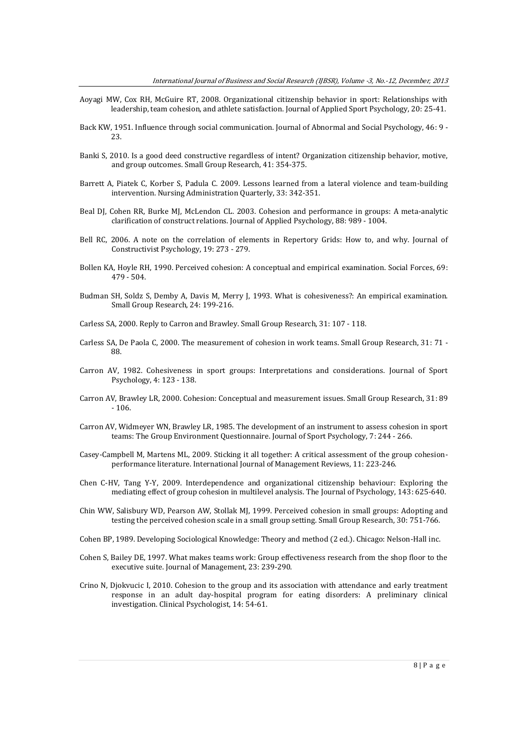- Aoyagi MW, Cox RH, McGuire RT, 2008. Organizational citizenship behavior in sport: Relationships with leadership, team cohesion, and athlete satisfaction. Journal of Applied Sport Psychology, 20: 25-41.
- Back KW, 1951. Influence through social communication. Journal of Abnormal and Social Psychology, 46: 9 23.
- Banki S, 2010. Is a good deed constructive regardless of intent? Organization citizenship behavior, motive, and group outcomes. Small Group Research, 41: 354-375.
- Barrett A, Piatek C, Korber S, Padula C. 2009. Lessons learned from a lateral violence and team-building intervention. Nursing Administration Quarterly, 33: 342-351.
- Beal DJ, Cohen RR, Burke MJ, McLendon CL. 2003. Cohesion and performance in groups: A meta-analytic clarification of construct relations. Journal of Applied Psychology, 88: 989 - 1004.
- Bell RC, 2006. A note on the correlation of elements in Repertory Grids: How to, and why. Journal of Constructivist Psychology, 19: 273 - 279.
- Bollen KA, Hoyle RH, 1990. Perceived cohesion: A conceptual and empirical examination. Social Forces, 69: 479 - 504.
- Budman SH, Soldz S, Demby A, Davis M, Merry J, 1993. What is cohesiveness?: An empirical examination. Small Group Research, 24: 199-216.
- Carless SA, 2000. Reply to Carron and Brawley. Small Group Research, 31: 107 118.
- Carless SA, De Paola C, 2000. The measurement of cohesion in work teams. Small Group Research, 31: 71 88.
- Carron AV, 1982. Cohesiveness in sport groups: Interpretations and considerations. Journal of Sport Psychology, 4: 123 - 138.
- Carron AV, Brawley LR, 2000. Cohesion: Conceptual and measurement issues. Small Group Research, 31: 89 - 106.
- Carron AV, Widmeyer WN, Brawley LR, 1985. The development of an instrument to assess cohesion in sport teams: The Group Environment Questionnaire. Journal of Sport Psychology, 7: 244 - 266.
- Casey-Campbell M, Martens ML, 2009. Sticking it all together: A critical assessment of the group cohesionperformance literature. International Journal of Management Reviews, 11: 223-246.
- Chen C-HV, Tang Y-Y, 2009. Interdependence and organizational citizenship behaviour: Exploring the mediating effect of group cohesion in multilevel analysis. The Journal of Psychology, 143: 625-640.
- Chin WW, Salisbury WD, Pearson AW, Stollak MJ, 1999. Perceived cohesion in small groups: Adopting and testing the perceived cohesion scale in a small group setting. Small Group Research, 30: 751-766.
- Cohen BP, 1989. Developing Sociological Knowledge: Theory and method (2 ed.). Chicago: Nelson-Hall inc.
- Cohen S, Bailey DE, 1997. What makes teams work: Group effectiveness research from the shop floor to the executive suite. Journal of Management, 23: 239-290.
- Crino N, Djokvucic I, 2010. Cohesion to the group and its association with attendance and early treatment response in an adult day-hospital program for eating disorders: A preliminary clinical investigation. Clinical Psychologist, 14: 54-61.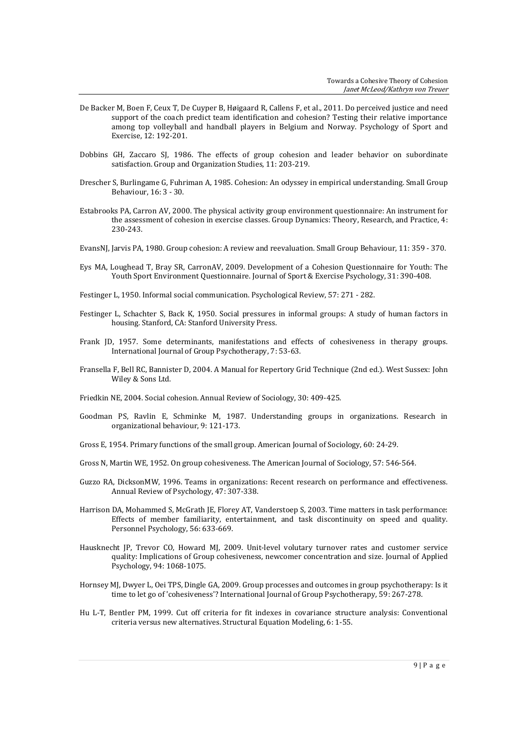- De Backer M, Boen F, Ceux T, De Cuyper B, Høigaard R, Callens F, et al., 2011. Do perceived justice and need support of the coach predict team identification and cohesion? Testing their relative importance among top volleyball and handball players in Belgium and Norway. Psychology of Sport and Exercise, 12: 192-201.
- Dobbins GH, Zaccaro SJ, 1986. The effects of group cohesion and leader behavior on subordinate satisfaction. Group and Organization Studies, 11: 203-219.
- Drescher S, Burlingame G, Fuhriman A, 1985. Cohesion: An odyssey in empirical understanding. Small Group Behaviour, 16: 3 - 30.
- Estabrooks PA, Carron AV, 2000. The physical activity group environment questionnaire: An instrument for the assessment of cohesion in exercise classes. Group Dynamics: Theory, Research, and Practice, 4: 230-243.
- EvansNJ, Jarvis PA, 1980. Group cohesion: A review and reevaluation. Small Group Behaviour, 11: 359 370.
- Eys MA, Loughead T, Bray SR, CarronAV, 2009. Development of a Cohesion Questionnaire for Youth: The Youth Sport Environment Questionnaire. Journal of Sport & Exercise Psychology, 31: 390-408.
- Festinger L, 1950. Informal social communication. Psychological Review, 57: 271 282.
- Festinger L, Schachter S, Back K, 1950. Social pressures in informal groups: A study of human factors in housing. Stanford, CA: Stanford University Press.
- Frank JD, 1957. Some determinants, manifestations and effects of cohesiveness in therapy groups. International Journal of Group Psychotherapy, 7: 53-63.
- Fransella F, Bell RC, Bannister D, 2004. A Manual for Repertory Grid Technique (2nd ed.). West Sussex: John Wiley & Sons Ltd.
- Friedkin NE, 2004. Social cohesion. Annual Review of Sociology, 30: 409-425.
- Goodman PS, Ravlin E, Schminke M, 1987. Understanding groups in organizations. Research in organizational behaviour, 9: 121-173.
- Gross E, 1954. Primary functions of the small group. American Journal of Sociology, 60: 24-29.
- Gross N, Martin WE, 1952. On group cohesiveness. The American Journal of Sociology, 57: 546-564.
- Guzzo RA, DicksonMW, 1996. Teams in organizations: Recent research on performance and effectiveness. Annual Review of Psychology, 47: 307-338.
- Harrison DA, Mohammed S, McGrath JE, Florey AT, Vanderstoep S, 2003. Time matters in task performance: Effects of member familiarity, entertainment, and task discontinuity on speed and quality. Personnel Psychology, 56: 633-669.
- Hausknecht JP, Trevor CO, Howard MJ, 2009. Unit-level volutary turnover rates and customer service quality: Implications of Group cohesiveness, newcomer concentration and size. Journal of Applied Psychology, 94: 1068-1075.
- Hornsey MJ, Dwyer L, Oei TPS, Dingle GA, 2009. Group processes and outcomes in group psychotherapy: Is it time to let go of 'cohesiveness'? International Journal of Group Psychotherapy, 59: 267-278.
- Hu L-T, Bentler PM, 1999. Cut off criteria for fit indexes in covariance structure analysis: Conventional criteria versus new alternatives. Structural Equation Modeling, 6: 1-55.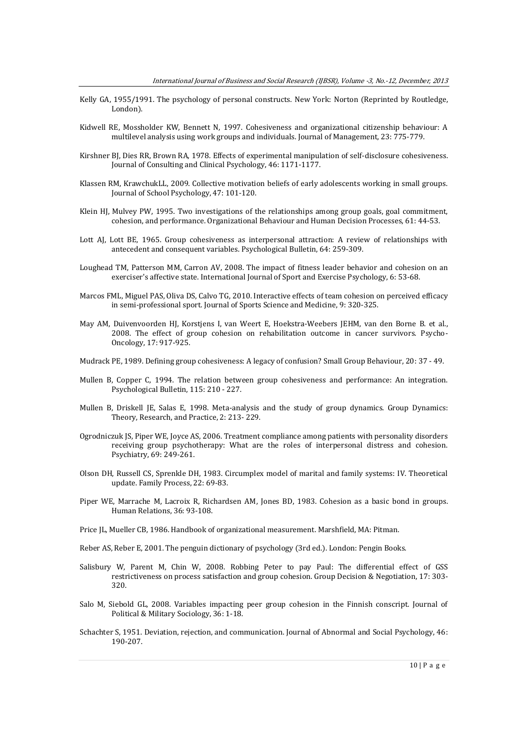- Kelly GA, 1955/1991. The psychology of personal constructs. New York: Norton (Reprinted by Routledge, London).
- Kidwell RE, Mossholder KW, Bennett N, 1997. Cohesiveness and organizational citizenship behaviour: A multilevel analysis using work groups and individuals. Journal of Management, 23: 775-779.
- Kirshner BJ, Dies RR, Brown RA, 1978. Effects of experimental manipulation of self-disclosure cohesiveness. Journal of Consulting and Clinical Psychology, 46: 1171-1177.
- Klassen RM, KrawchukLL, 2009. Collective motivation beliefs of early adolescents working in small groups. Journal of School Psychology, 47: 101-120.
- Klein HJ, Mulvey PW, 1995. Two investigations of the relationships among group goals, goal commitment, cohesion, and performance. Organizational Behaviour and Human Decision Processes, 61: 44-53.
- Lott AJ, Lott BE, 1965. Group cohesiveness as interpersonal attraction: A review of relationships with antecedent and consequent variables. Psychological Bulletin, 64: 259-309.
- Loughead TM, Patterson MM, Carron AV, 2008. The impact of fitness leader behavior and cohesion on an exerciser's affective state. International Journal of Sport and Exercise Psychology, 6: 53-68.
- Marcos FML, Miguel PAS, Oliva DS, Calvo TG, 2010. Interactive effects of team cohesion on perceived efficacy in semi-professional sport. Journal of Sports Science and Medicine, 9: 320-325.
- May AM, Duivenvoorden HJ, Korstjens I, van Weert E, Hoekstra-Weebers JEHM, van den Borne B. et al., 2008. The effect of group cohesion on rehabilitation outcome in cancer survivors. Psycho-Oncology, 17: 917-925.
- Mudrack PE, 1989. Defining group cohesiveness: A legacy of confusion? Small Group Behaviour, 20: 37 49.
- Mullen B, Copper C, 1994. The relation between group cohesiveness and performance: An integration. Psychological Bulletin, 115: 210 - 227.
- Mullen B, Driskell JE, Salas E, 1998. Meta-analysis and the study of group dynamics. Group Dynamics: Theory, Research, and Practice, 2: 213- 229.
- Ogrodniczuk JS, Piper WE, Joyce AS, 2006. Treatment compliance among patients with personality disorders receiving group psychotherapy: What are the roles of interpersonal distress and cohesion. Psychiatry, 69: 249-261.
- Olson DH, Russell CS, Sprenkle DH, 1983. Circumplex model of marital and family systems: IV. Theoretical update. Family Process, 22: 69-83.
- Piper WE, Marrache M, Lacroix R, Richardsen AM, Jones BD, 1983. Cohesion as a basic bond in groups. Human Relations, 36: 93-108.
- Price JL, Mueller CB, 1986. Handbook of organizational measurement. Marshfield, MA: Pitman.
- Reber AS, Reber E, 2001. The penguin dictionary of psychology (3rd ed.). London: Pengin Books.
- Salisbury W, Parent M, Chin W, 2008. Robbing Peter to pay Paul: The differential effect of GSS restrictiveness on process satisfaction and group cohesion. Group Decision & Negotiation, 17: 303- 320.
- Salo M, Siebold GL, 2008. Variables impacting peer group cohesion in the Finnish conscript. Journal of Political & Military Sociology, 36: 1-18.
- Schachter S, 1951. Deviation, rejection, and communication. Journal of Abnormal and Social Psychology, 46: 190-207.